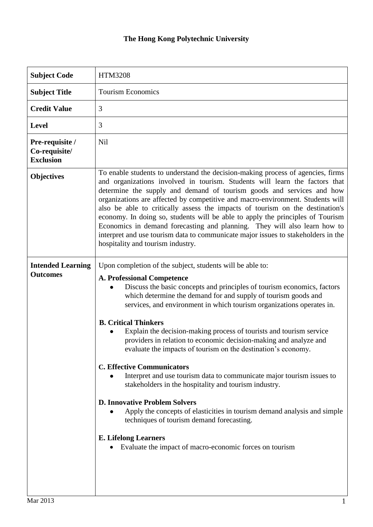## **The Hong Kong Polytechnic University**

| <b>HTM3208</b>                                                                                                                                                                                                                                                                                                                                                                                                                                                                                                                                                                                                                                                                                                                                                                                                                                                                                                                                                                                     |
|----------------------------------------------------------------------------------------------------------------------------------------------------------------------------------------------------------------------------------------------------------------------------------------------------------------------------------------------------------------------------------------------------------------------------------------------------------------------------------------------------------------------------------------------------------------------------------------------------------------------------------------------------------------------------------------------------------------------------------------------------------------------------------------------------------------------------------------------------------------------------------------------------------------------------------------------------------------------------------------------------|
| <b>Tourism Economics</b>                                                                                                                                                                                                                                                                                                                                                                                                                                                                                                                                                                                                                                                                                                                                                                                                                                                                                                                                                                           |
| 3                                                                                                                                                                                                                                                                                                                                                                                                                                                                                                                                                                                                                                                                                                                                                                                                                                                                                                                                                                                                  |
| 3                                                                                                                                                                                                                                                                                                                                                                                                                                                                                                                                                                                                                                                                                                                                                                                                                                                                                                                                                                                                  |
| Nil                                                                                                                                                                                                                                                                                                                                                                                                                                                                                                                                                                                                                                                                                                                                                                                                                                                                                                                                                                                                |
| To enable students to understand the decision-making process of agencies, firms<br>and organizations involved in tourism. Students will learn the factors that<br>determine the supply and demand of tourism goods and services and how<br>organizations are affected by competitive and macro-environment. Students will<br>also be able to critically assess the impacts of tourism on the destination's<br>economy. In doing so, students will be able to apply the principles of Tourism<br>Economics in demand forecasting and planning. They will also learn how to<br>interpret and use tourism data to communicate major issues to stakeholders in the<br>hospitality and tourism industry.                                                                                                                                                                                                                                                                                                |
| Upon completion of the subject, students will be able to:<br><b>A. Professional Competence</b><br>Discuss the basic concepts and principles of tourism economics, factors<br>which determine the demand for and supply of tourism goods and<br>services, and environment in which tourism organizations operates in.<br><b>B. Critical Thinkers</b><br>Explain the decision-making process of tourists and tourism service<br>providers in relation to economic decision-making and analyze and<br>evaluate the impacts of tourism on the destination's economy.<br><b>C. Effective Communicators</b><br>Interpret and use tourism data to communicate major tourism issues to<br>stakeholders in the hospitality and tourism industry.<br><b>D. Innovative Problem Solvers</b><br>Apply the concepts of elasticities in tourism demand analysis and simple<br>techniques of tourism demand forecasting.<br><b>E. Lifelong Learners</b><br>Evaluate the impact of macro-economic forces on tourism |
|                                                                                                                                                                                                                                                                                                                                                                                                                                                                                                                                                                                                                                                                                                                                                                                                                                                                                                                                                                                                    |